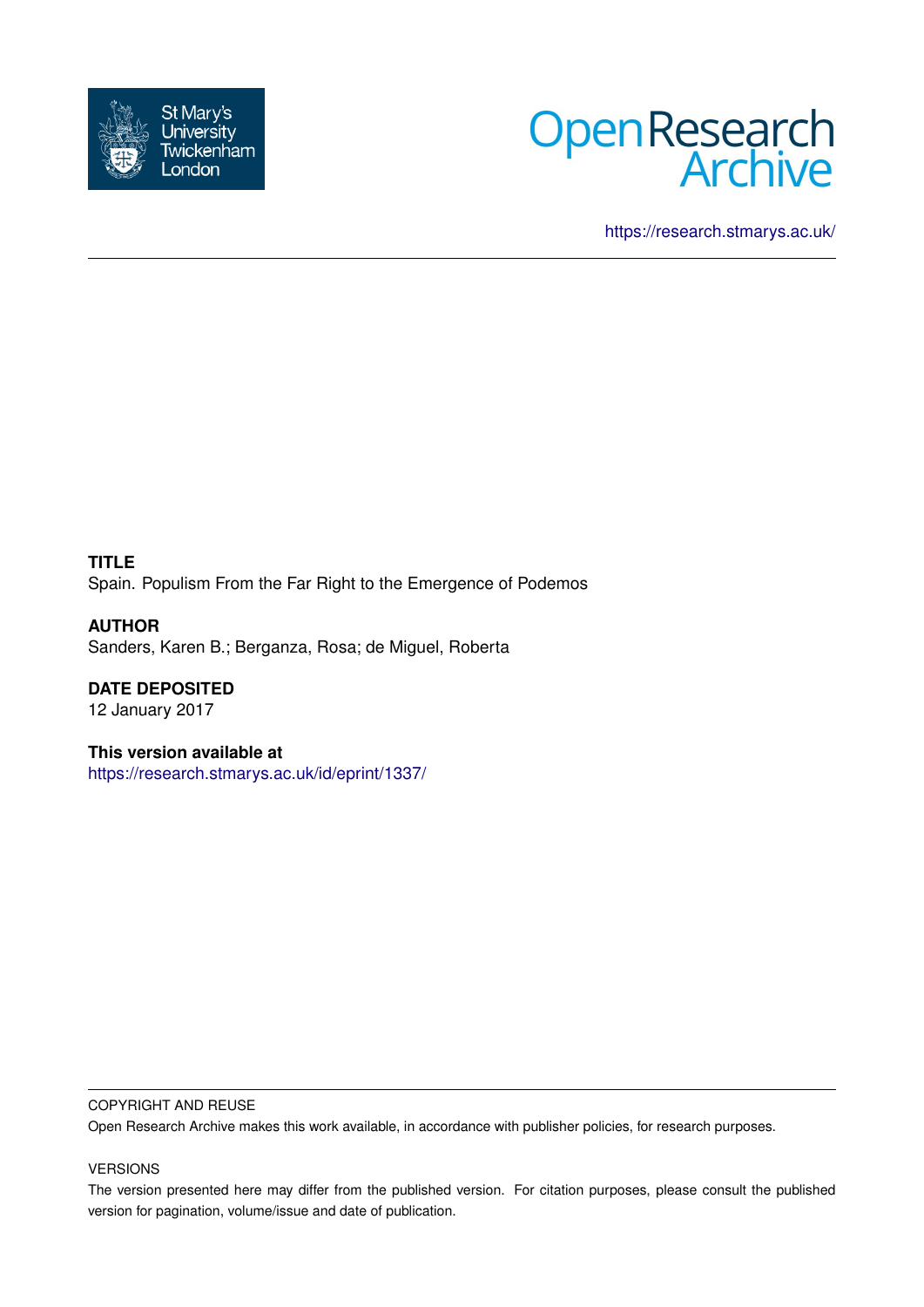



<https://research.stmarys.ac.uk/>

**TITLE** Spain. Populism From the Far Right to the Emergence of Podemos

**AUTHOR** Sanders, Karen B.; Berganza, Rosa; de Miguel, Roberta

**DATE DEPOSITED** 12 January 2017

**This version available at** <https://research.stmarys.ac.uk/id/eprint/1337/>

#### COPYRIGHT AND REUSE

Open Research Archive makes this work available, in accordance with publisher policies, for research purposes.

### VERSIONS

The version presented here may differ from the published version. For citation purposes, please consult the published version for pagination, volume/issue and date of publication.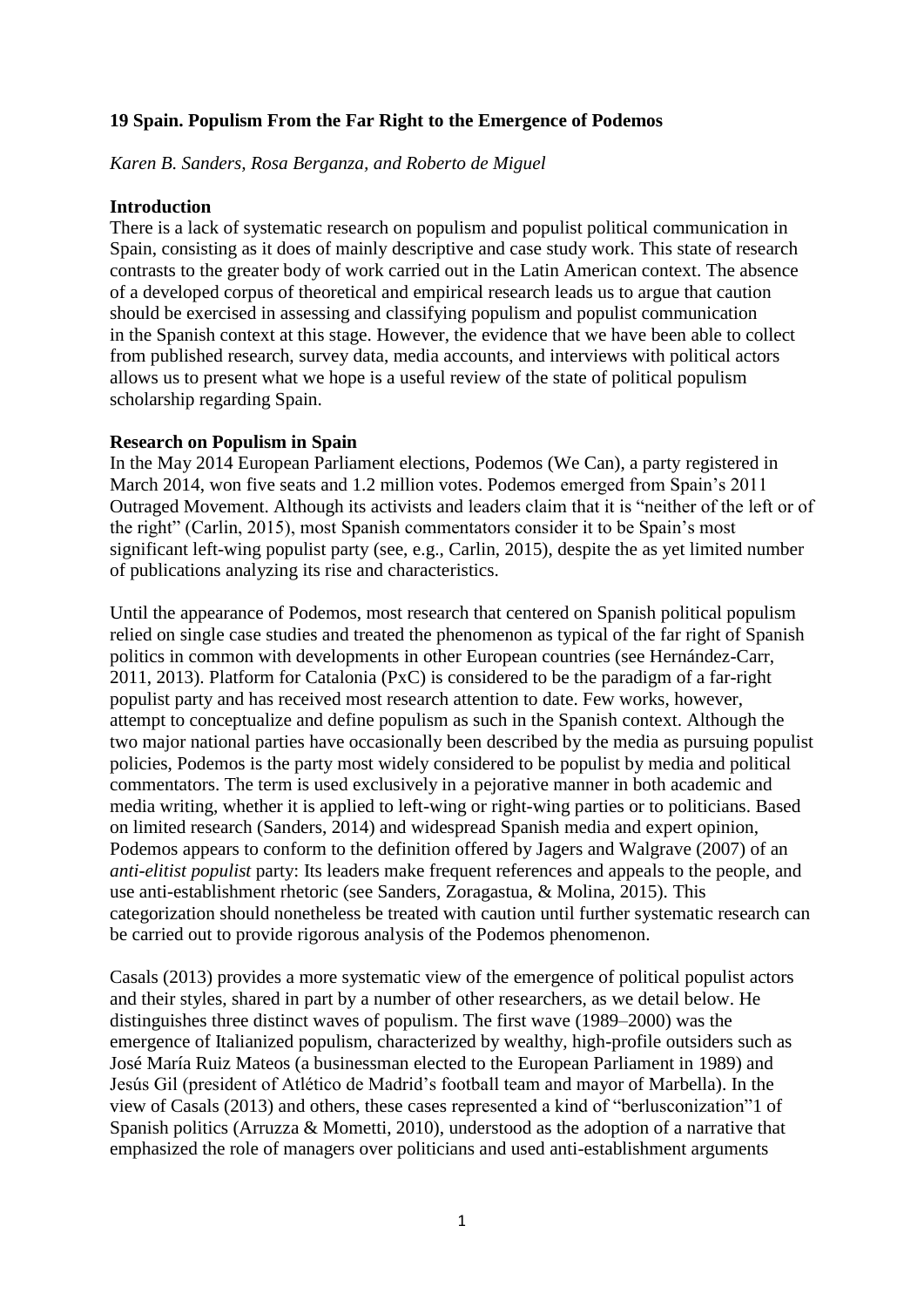# **19 Spain. Populism From the Far Right to the Emergence of Podemos**

*Karen B. Sanders, Rosa Berganza, and Roberto de Miguel*

### **Introduction**

There is a lack of systematic research on populism and populist political communication in Spain, consisting as it does of mainly descriptive and case study work. This state of research contrasts to the greater body of work carried out in the Latin American context. The absence of a developed corpus of theoretical and empirical research leads us to argue that caution should be exercised in assessing and classifying populism and populist communication in the Spanish context at this stage. However, the evidence that we have been able to collect from published research, survey data, media accounts, and interviews with political actors allows us to present what we hope is a useful review of the state of political populism scholarship regarding Spain.

### **Research on Populism in Spain**

In the May 2014 European Parliament elections, Podemos (We Can), a party registered in March 2014, won five seats and 1.2 million votes. Podemos emerged from Spain's 2011 Outraged Movement. Although its activists and leaders claim that it is "neither of the left or of the right" (Carlin, 2015), most Spanish commentators consider it to be Spain's most significant left-wing populist party (see, e.g., Carlin, 2015), despite the as yet limited number of publications analyzing its rise and characteristics.

Until the appearance of Podemos, most research that centered on Spanish political populism relied on single case studies and treated the phenomenon as typical of the far right of Spanish politics in common with developments in other European countries (see Hernández-Carr, 2011, 2013). Platform for Catalonia (PxC) is considered to be the paradigm of a far-right populist party and has received most research attention to date. Few works, however, attempt to conceptualize and define populism as such in the Spanish context. Although the two major national parties have occasionally been described by the media as pursuing populist policies, Podemos is the party most widely considered to be populist by media and political commentators. The term is used exclusively in a pejorative manner in both academic and media writing, whether it is applied to left-wing or right-wing parties or to politicians. Based on limited research (Sanders, 2014) and widespread Spanish media and expert opinion, Podemos appears to conform to the definition offered by Jagers and Walgrave (2007) of an *anti-elitist populist* party: Its leaders make frequent references and appeals to the people, and use anti-establishment rhetoric (see Sanders, Zoragastua, & Molina, 2015). This categorization should nonetheless be treated with caution until further systematic research can be carried out to provide rigorous analysis of the Podemos phenomenon.

Casals (2013) provides a more systematic view of the emergence of political populist actors and their styles, shared in part by a number of other researchers, as we detail below. He distinguishes three distinct waves of populism. The first wave (1989–2000) was the emergence of Italianized populism, characterized by wealthy, high-profile outsiders such as José María Ruiz Mateos (a businessman elected to the European Parliament in 1989) and Jesús Gil (president of Atlético de Madrid's football team and mayor of Marbella). In the view of Casals (2013) and others, these cases represented a kind of "berlusconization"1 of Spanish politics (Arruzza & Mometti, 2010), understood as the adoption of a narrative that emphasized the role of managers over politicians and used anti-establishment arguments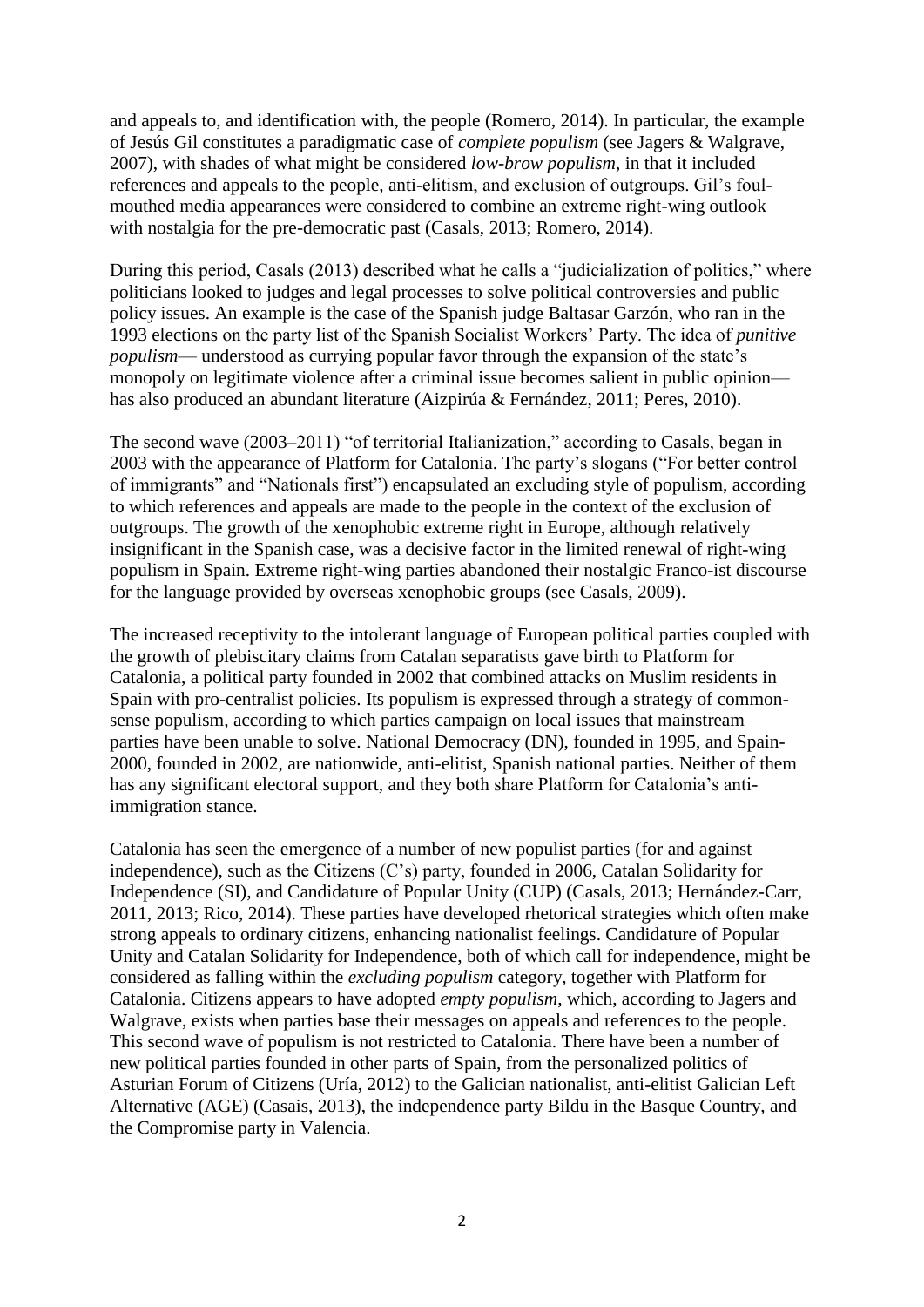and appeals to, and identification with, the people (Romero, 2014). In particular, the example of Jesús Gil constitutes a paradigmatic case of *complete populism* (see Jagers & Walgrave, 2007), with shades of what might be considered *low-brow populism*, in that it included references and appeals to the people, anti-elitism, and exclusion of outgroups. Gil's foulmouthed media appearances were considered to combine an extreme right-wing outlook with nostalgia for the pre-democratic past (Casals, 2013; Romero, 2014).

During this period, Casals (2013) described what he calls a "judicialization of politics," where politicians looked to judges and legal processes to solve political controversies and public policy issues. An example is the case of the Spanish judge Baltasar Garzón, who ran in the 1993 elections on the party list of the Spanish Socialist Workers' Party. The idea of *punitive populism*— understood as currying popular favor through the expansion of the state's monopoly on legitimate violence after a criminal issue becomes salient in public opinion has also produced an abundant literature (Aizpirúa & Fernández, 2011; Peres, 2010).

The second wave (2003–2011) "of territorial Italianization," according to Casals, began in 2003 with the appearance of Platform for Catalonia. The party's slogans ("For better control of immigrants" and "Nationals first") encapsulated an excluding style of populism, according to which references and appeals are made to the people in the context of the exclusion of outgroups. The growth of the xenophobic extreme right in Europe, although relatively insignificant in the Spanish case, was a decisive factor in the limited renewal of right-wing populism in Spain. Extreme right-wing parties abandoned their nostalgic Franco-ist discourse for the language provided by overseas xenophobic groups (see Casals, 2009).

The increased receptivity to the intolerant language of European political parties coupled with the growth of plebiscitary claims from Catalan separatists gave birth to Platform for Catalonia, a political party founded in 2002 that combined attacks on Muslim residents in Spain with pro-centralist policies. Its populism is expressed through a strategy of commonsense populism, according to which parties campaign on local issues that mainstream parties have been unable to solve. National Democracy (DN), founded in 1995, and Spain-2000, founded in 2002, are nationwide, anti-elitist, Spanish national parties. Neither of them has any significant electoral support, and they both share Platform for Catalonia's antiimmigration stance.

Catalonia has seen the emergence of a number of new populist parties (for and against independence), such as the Citizens (C's) party, founded in 2006, Catalan Solidarity for Independence (SI), and Candidature of Popular Unity (CUP) (Casals, 2013; Hernández-Carr, 2011, 2013; Rico, 2014). These parties have developed rhetorical strategies which often make strong appeals to ordinary citizens, enhancing nationalist feelings. Candidature of Popular Unity and Catalan Solidarity for Independence, both of which call for independence, might be considered as falling within the *excluding populism* category, together with Platform for Catalonia. Citizens appears to have adopted *empty populism*, which, according to Jagers and Walgrave, exists when parties base their messages on appeals and references to the people. This second wave of populism is not restricted to Catalonia. There have been a number of new political parties founded in other parts of Spain, from the personalized politics of Asturian Forum of Citizens (Uría, 2012) to the Galician nationalist, anti-elitist Galician Left Alternative (AGE) (Casais, 2013), the independence party Bildu in the Basque Country, and the Compromise party in Valencia.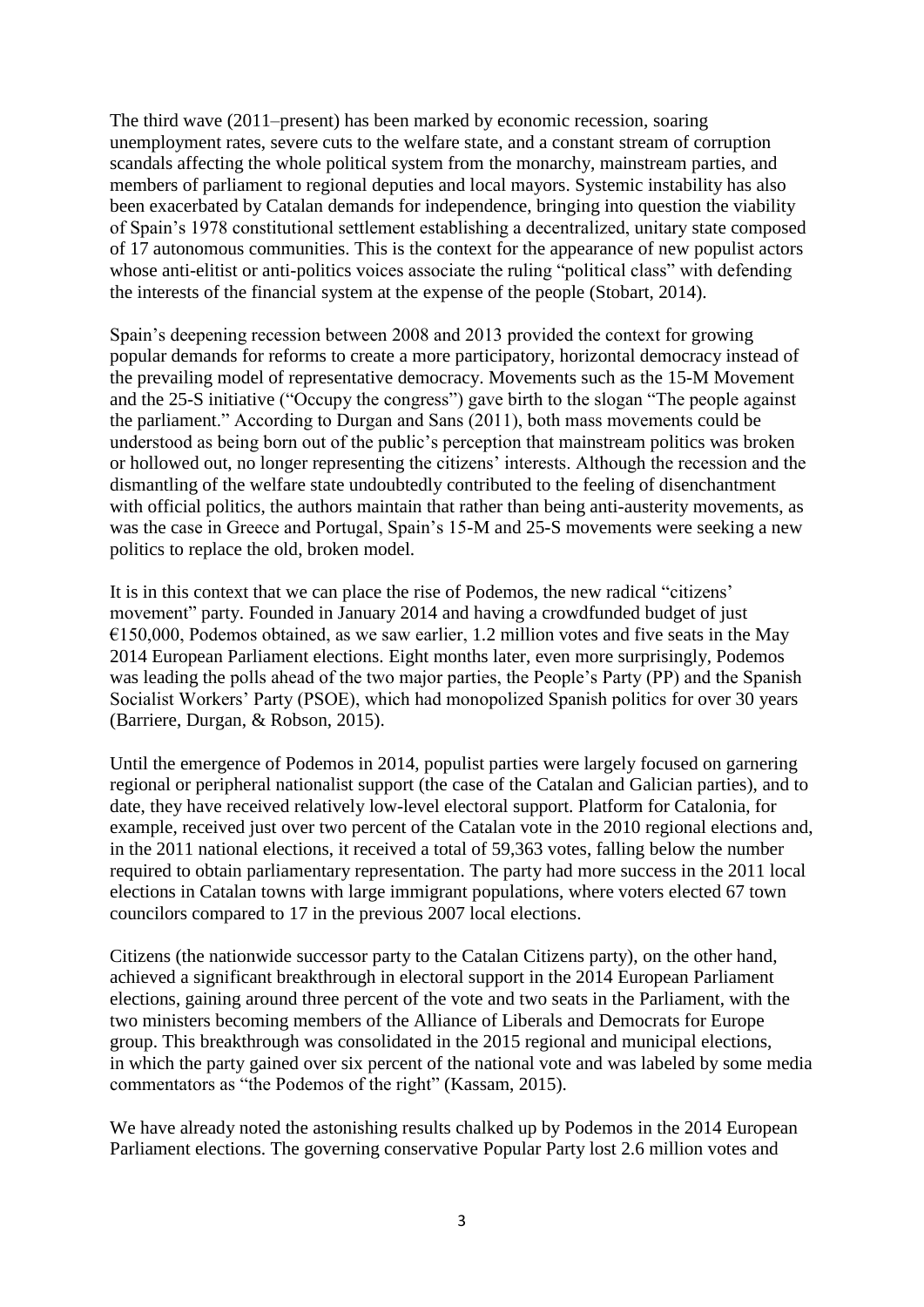The third wave (2011–present) has been marked by economic recession, soaring unemployment rates, severe cuts to the welfare state, and a constant stream of corruption scandals affecting the whole political system from the monarchy, mainstream parties, and members of parliament to regional deputies and local mayors. Systemic instability has also been exacerbated by Catalan demands for independence, bringing into question the viability of Spain's 1978 constitutional settlement establishing a decentralized, unitary state composed of 17 autonomous communities. This is the context for the appearance of new populist actors whose anti-elitist or anti-politics voices associate the ruling "political class" with defending the interests of the financial system at the expense of the people (Stobart, 2014).

Spain's deepening recession between 2008 and 2013 provided the context for growing popular demands for reforms to create a more participatory, horizontal democracy instead of the prevailing model of representative democracy. Movements such as the 15-M Movement and the 25-S initiative ("Occupy the congress") gave birth to the slogan "The people against the parliament." According to Durgan and Sans (2011), both mass movements could be understood as being born out of the public's perception that mainstream politics was broken or hollowed out, no longer representing the citizens' interests. Although the recession and the dismantling of the welfare state undoubtedly contributed to the feeling of disenchantment with official politics, the authors maintain that rather than being anti-austerity movements, as was the case in Greece and Portugal, Spain's 15-M and 25-S movements were seeking a new politics to replace the old, broken model.

It is in this context that we can place the rise of Podemos, the new radical "citizens' movement" party. Founded in January 2014 and having a crowdfunded budget of just  $€150,000$ , Podemos obtained, as we saw earlier, 1.2 million votes and five seats in the May 2014 European Parliament elections. Eight months later, even more surprisingly, Podemos was leading the polls ahead of the two major parties, the People's Party (PP) and the Spanish Socialist Workers' Party (PSOE), which had monopolized Spanish politics for over 30 years (Barriere, Durgan, & Robson, 2015).

Until the emergence of Podemos in 2014, populist parties were largely focused on garnering regional or peripheral nationalist support (the case of the Catalan and Galician parties), and to date, they have received relatively low-level electoral support. Platform for Catalonia, for example, received just over two percent of the Catalan vote in the 2010 regional elections and, in the 2011 national elections, it received a total of 59,363 votes, falling below the number required to obtain parliamentary representation. The party had more success in the 2011 local elections in Catalan towns with large immigrant populations, where voters elected 67 town councilors compared to 17 in the previous 2007 local elections.

Citizens (the nationwide successor party to the Catalan Citizens party), on the other hand, achieved a significant breakthrough in electoral support in the 2014 European Parliament elections, gaining around three percent of the vote and two seats in the Parliament, with the two ministers becoming members of the Alliance of Liberals and Democrats for Europe group. This breakthrough was consolidated in the 2015 regional and municipal elections, in which the party gained over six percent of the national vote and was labeled by some media commentators as "the Podemos of the right" (Kassam, 2015).

We have already noted the astonishing results chalked up by Podemos in the 2014 European Parliament elections. The governing conservative Popular Party lost 2.6 million votes and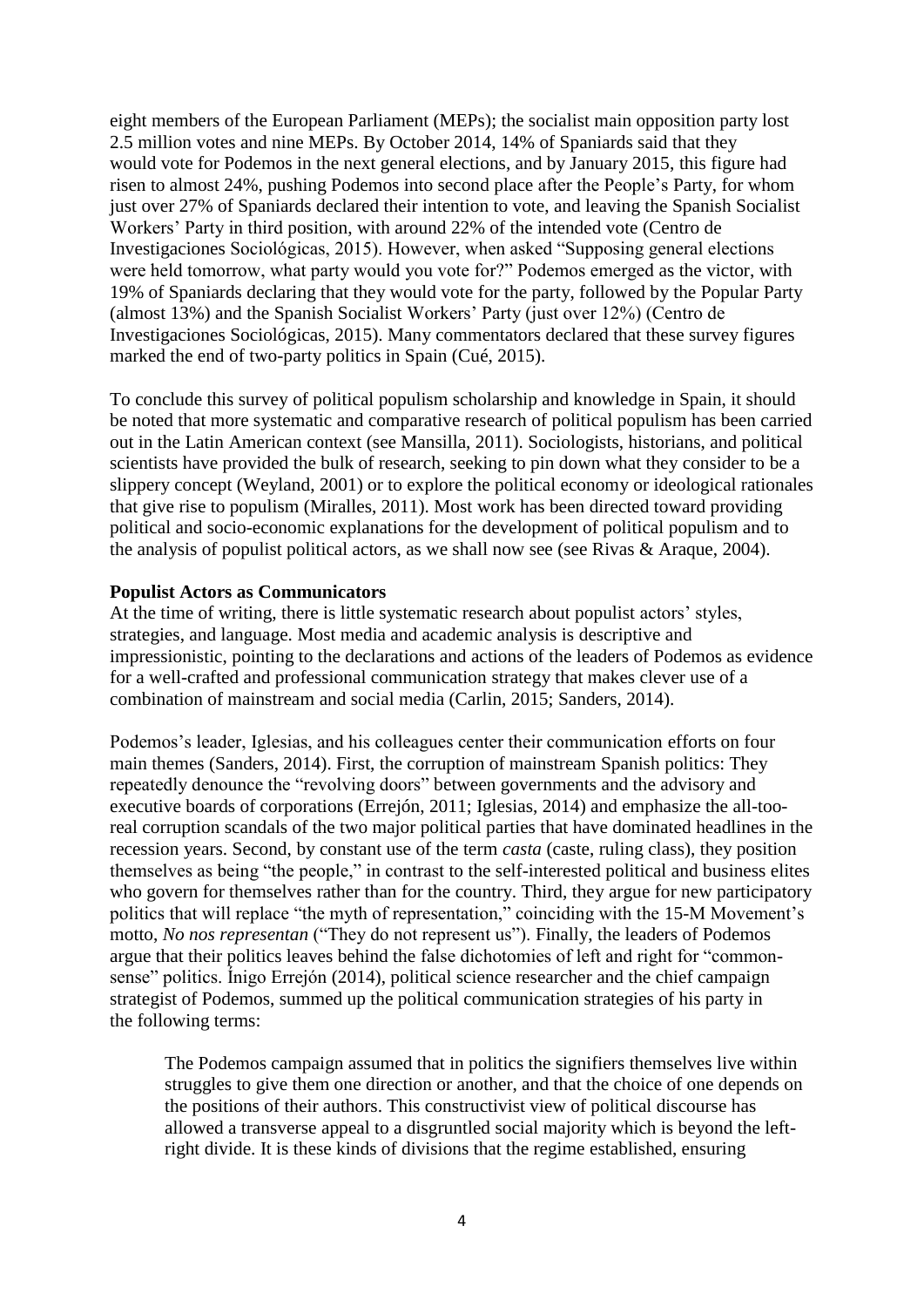eight members of the European Parliament (MEPs); the socialist main opposition party lost 2.5 million votes and nine MEPs. By October 2014, 14% of Spaniards said that they would vote for Podemos in the next general elections, and by January 2015, this figure had risen to almost 24%, pushing Podemos into second place after the People's Party, for whom just over 27% of Spaniards declared their intention to vote, and leaving the Spanish Socialist Workers' Party in third position, with around 22% of the intended vote (Centro de Investigaciones Sociológicas, 2015). However, when asked "Supposing general elections were held tomorrow, what party would you vote for?" Podemos emerged as the victor, with 19% of Spaniards declaring that they would vote for the party, followed by the Popular Party (almost 13%) and the Spanish Socialist Workers' Party (just over 12%) (Centro de Investigaciones Sociológicas, 2015). Many commentators declared that these survey figures marked the end of two-party politics in Spain (Cué, 2015).

To conclude this survey of political populism scholarship and knowledge in Spain, it should be noted that more systematic and comparative research of political populism has been carried out in the Latin American context (see Mansilla, 2011). Sociologists, historians, and political scientists have provided the bulk of research, seeking to pin down what they consider to be a slippery concept (Weyland, 2001) or to explore the political economy or ideological rationales that give rise to populism (Miralles, 2011). Most work has been directed toward providing political and socio-economic explanations for the development of political populism and to the analysis of populist political actors, as we shall now see (see Rivas & Araque, 2004).

# **Populist Actors as Communicators**

At the time of writing, there is little systematic research about populist actors' styles, strategies, and language. Most media and academic analysis is descriptive and impressionistic, pointing to the declarations and actions of the leaders of Podemos as evidence for a well-crafted and professional communication strategy that makes clever use of a combination of mainstream and social media (Carlin, 2015; Sanders, 2014).

Podemos's leader, Iglesias, and his colleagues center their communication efforts on four main themes (Sanders, 2014). First, the corruption of mainstream Spanish politics: They repeatedly denounce the "revolving doors" between governments and the advisory and executive boards of corporations (Errejón, 2011; Iglesias, 2014) and emphasize the all-tooreal corruption scandals of the two major political parties that have dominated headlines in the recession years. Second, by constant use of the term *casta* (caste, ruling class), they position themselves as being "the people," in contrast to the self-interested political and business elites who govern for themselves rather than for the country. Third, they argue for new participatory politics that will replace "the myth of representation," coinciding with the 15-M Movement's motto, *No nos representan* ("They do not represent us"). Finally, the leaders of Podemos argue that their politics leaves behind the false dichotomies of left and right for "commonsense" politics. Ínigo Errejón (2014), political science researcher and the chief campaign strategist of Podemos, summed up the political communication strategies of his party in the following terms:

The Podemos campaign assumed that in politics the signifiers themselves live within struggles to give them one direction or another, and that the choice of one depends on the positions of their authors. This constructivist view of political discourse has allowed a transverse appeal to a disgruntled social majority which is beyond the leftright divide. It is these kinds of divisions that the regime established, ensuring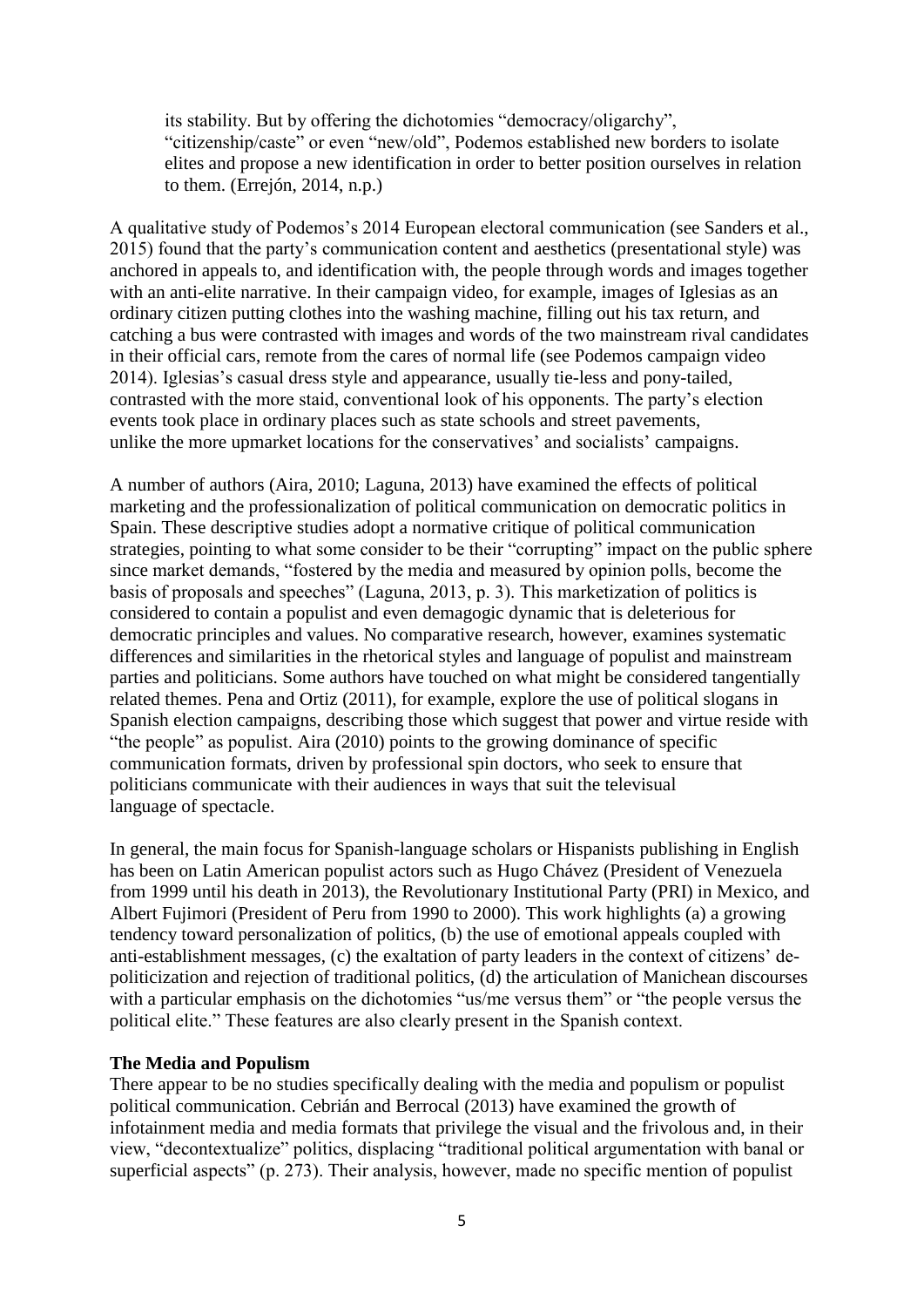its stability. But by offering the dichotomies "democracy/oligarchy", "citizenship/caste" or even "new/old", Podemos established new borders to isolate elites and propose a new identification in order to better position ourselves in relation to them. (Errejón, 2014, n.p.)

A qualitative study of Podemos's 2014 European electoral communication (see Sanders et al., 2015) found that the party's communication content and aesthetics (presentational style) was anchored in appeals to, and identification with, the people through words and images together with an anti-elite narrative. In their campaign video, for example, images of Iglesias as an ordinary citizen putting clothes into the washing machine, filling out his tax return, and catching a bus were contrasted with images and words of the two mainstream rival candidates in their official cars, remote from the cares of normal life (see Podemos campaign video 2014). Iglesias's casual dress style and appearance, usually tie-less and pony-tailed, contrasted with the more staid, conventional look of his opponents. The party's election events took place in ordinary places such as state schools and street pavements, unlike the more upmarket locations for the conservatives' and socialists' campaigns.

A number of authors (Aira, 2010; Laguna, 2013) have examined the effects of political marketing and the professionalization of political communication on democratic politics in Spain. These descriptive studies adopt a normative critique of political communication strategies, pointing to what some consider to be their "corrupting" impact on the public sphere since market demands, "fostered by the media and measured by opinion polls, become the basis of proposals and speeches" (Laguna, 2013, p. 3). This marketization of politics is considered to contain a populist and even demagogic dynamic that is deleterious for democratic principles and values. No comparative research, however, examines systematic differences and similarities in the rhetorical styles and language of populist and mainstream parties and politicians. Some authors have touched on what might be considered tangentially related themes. Pena and Ortiz (2011), for example, explore the use of political slogans in Spanish election campaigns, describing those which suggest that power and virtue reside with "the people" as populist. Aira (2010) points to the growing dominance of specific communication formats, driven by professional spin doctors, who seek to ensure that politicians communicate with their audiences in ways that suit the televisual language of spectacle.

In general, the main focus for Spanish-language scholars or Hispanists publishing in English has been on Latin American populist actors such as Hugo Chávez (President of Venezuela from 1999 until his death in 2013), the Revolutionary Institutional Party (PRI) in Mexico, and Albert Fujimori (President of Peru from 1990 to 2000). This work highlights (a) a growing tendency toward personalization of politics, (b) the use of emotional appeals coupled with anti-establishment messages, (c) the exaltation of party leaders in the context of citizens' depoliticization and rejection of traditional politics, (d) the articulation of Manichean discourses with a particular emphasis on the dichotomies "us/me versus them" or "the people versus the political elite." These features are also clearly present in the Spanish context.

# **The Media and Populism**

There appear to be no studies specifically dealing with the media and populism or populist political communication. Cebrián and Berrocal (2013) have examined the growth of infotainment media and media formats that privilege the visual and the frivolous and, in their view, "decontextualize" politics, displacing "traditional political argumentation with banal or superficial aspects" (p. 273). Their analysis, however, made no specific mention of populist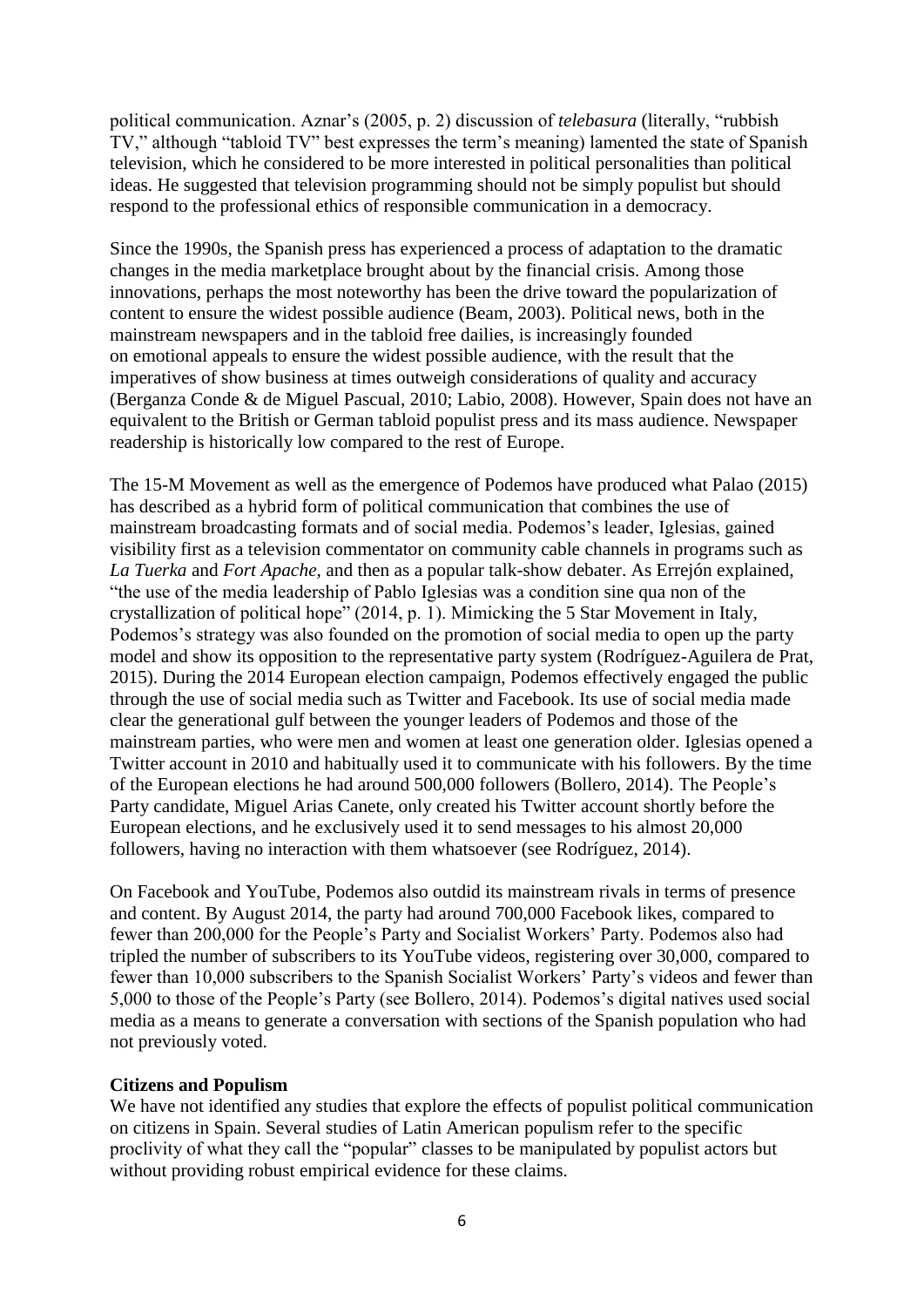political communication. Aznar's (2005, p. 2) discussion of *telebasura* (literally, "rubbish TV," although "tabloid TV" best expresses the term's meaning) lamented the state of Spanish television, which he considered to be more interested in political personalities than political ideas. He suggested that television programming should not be simply populist but should respond to the professional ethics of responsible communication in a democracy.

Since the 1990s, the Spanish press has experienced a process of adaptation to the dramatic changes in the media marketplace brought about by the financial crisis. Among those innovations, perhaps the most noteworthy has been the drive toward the popularization of content to ensure the widest possible audience (Beam, 2003). Political news, both in the mainstream newspapers and in the tabloid free dailies, is increasingly founded on emotional appeals to ensure the widest possible audience, with the result that the imperatives of show business at times outweigh considerations of quality and accuracy (Berganza Conde & de Miguel Pascual, 2010; Labio, 2008). However, Spain does not have an equivalent to the British or German tabloid populist press and its mass audience. Newspaper readership is historically low compared to the rest of Europe.

The 15-M Movement as well as the emergence of Podemos have produced what Palao (2015) has described as a hybrid form of political communication that combines the use of mainstream broadcasting formats and of social media. Podemos's leader, Iglesias, gained visibility first as a television commentator on community cable channels in programs such as *La Tuerka* and *Fort Apache,* and then as a popular talk-show debater. As Errejón explained, "the use of the media leadership of Pablo Iglesias was a condition sine qua non of the crystallization of political hope" (2014, p. 1). Mimicking the 5 Star Movement in Italy, Podemos's strategy was also founded on the promotion of social media to open up the party model and show its opposition to the representative party system (Rodríguez-Aguilera de Prat, 2015). During the 2014 European election campaign, Podemos effectively engaged the public through the use of social media such as Twitter and Facebook. Its use of social media made clear the generational gulf between the younger leaders of Podemos and those of the mainstream parties, who were men and women at least one generation older. Iglesias opened a Twitter account in 2010 and habitually used it to communicate with his followers. By the time of the European elections he had around 500,000 followers (Bollero, 2014). The People's Party candidate, Miguel Arias Canete, only created his Twitter account shortly before the European elections, and he exclusively used it to send messages to his almost 20,000 followers, having no interaction with them whatsoever (see Rodríguez, 2014).

On Facebook and YouTube, Podemos also outdid its mainstream rivals in terms of presence and content. By August 2014, the party had around 700,000 Facebook likes, compared to fewer than 200,000 for the People's Party and Socialist Workers' Party. Podemos also had tripled the number of subscribers to its YouTube videos, registering over 30,000, compared to fewer than 10,000 subscribers to the Spanish Socialist Workers' Party's videos and fewer than 5,000 to those of the People's Party (see Bollero, 2014). Podemos's digital natives used social media as a means to generate a conversation with sections of the Spanish population who had not previously voted.

# **Citizens and Populism**

We have not identified any studies that explore the effects of populist political communication on citizens in Spain. Several studies of Latin American populism refer to the specific proclivity of what they call the "popular" classes to be manipulated by populist actors but without providing robust empirical evidence for these claims.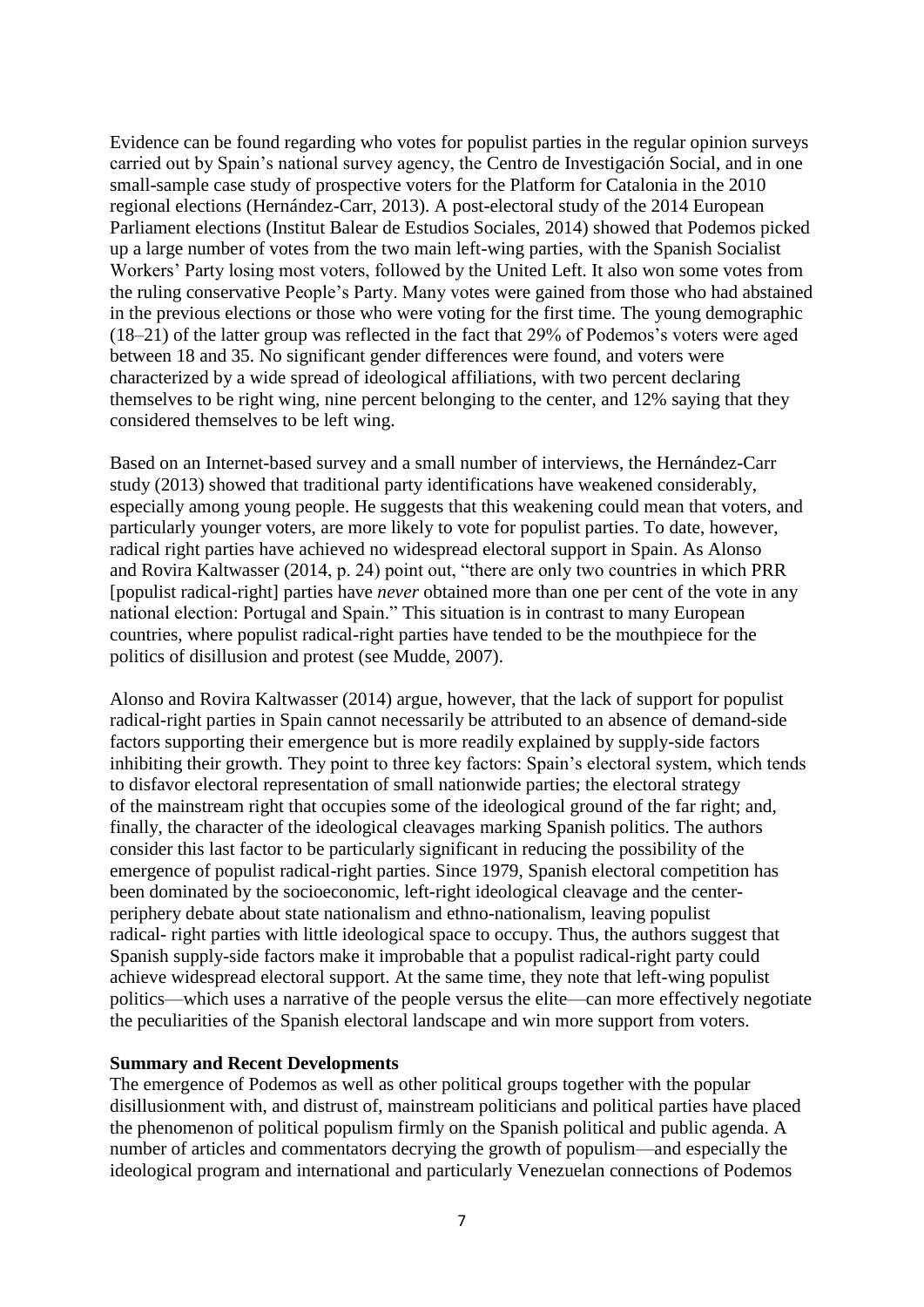Evidence can be found regarding who votes for populist parties in the regular opinion surveys carried out by Spain's national survey agency, the Centro de Investigación Social, and in one small-sample case study of prospective voters for the Platform for Catalonia in the 2010 regional elections (Hernández-Carr, 2013). A post-electoral study of the 2014 European Parliament elections (Institut Balear de Estudios Sociales, 2014) showed that Podemos picked up a large number of votes from the two main left-wing parties, with the Spanish Socialist Workers' Party losing most voters, followed by the United Left. It also won some votes from the ruling conservative People's Party. Many votes were gained from those who had abstained in the previous elections or those who were voting for the first time. The young demographic (18–21) of the latter group was reflected in the fact that 29% of Podemos's voters were aged between 18 and 35. No significant gender differences were found, and voters were characterized by a wide spread of ideological affiliations, with two percent declaring themselves to be right wing, nine percent belonging to the center, and 12% saying that they considered themselves to be left wing.

Based on an Internet-based survey and a small number of interviews, the Hernández-Carr study (2013) showed that traditional party identifications have weakened considerably, especially among young people. He suggests that this weakening could mean that voters, and particularly younger voters, are more likely to vote for populist parties. To date, however, radical right parties have achieved no widespread electoral support in Spain. As Alonso and Rovira Kaltwasser (2014, p. 24) point out, "there are only two countries in which PRR [populist radical-right] parties have *never* obtained more than one per cent of the vote in any national election: Portugal and Spain." This situation is in contrast to many European countries, where populist radical-right parties have tended to be the mouthpiece for the politics of disillusion and protest (see Mudde, 2007).

Alonso and Rovira Kaltwasser (2014) argue, however, that the lack of support for populist radical-right parties in Spain cannot necessarily be attributed to an absence of demand-side factors supporting their emergence but is more readily explained by supply-side factors inhibiting their growth. They point to three key factors: Spain's electoral system, which tends to disfavor electoral representation of small nationwide parties; the electoral strategy of the mainstream right that occupies some of the ideological ground of the far right; and, finally, the character of the ideological cleavages marking Spanish politics. The authors consider this last factor to be particularly significant in reducing the possibility of the emergence of populist radical-right parties. Since 1979, Spanish electoral competition has been dominated by the socioeconomic, left-right ideological cleavage and the centerperiphery debate about state nationalism and ethno-nationalism, leaving populist radical- right parties with little ideological space to occupy. Thus, the authors suggest that Spanish supply-side factors make it improbable that a populist radical-right party could achieve widespread electoral support. At the same time, they note that left-wing populist politics—which uses a narrative of the people versus the elite—can more effectively negotiate the peculiarities of the Spanish electoral landscape and win more support from voters.

#### **Summary and Recent Developments**

The emergence of Podemos as well as other political groups together with the popular disillusionment with, and distrust of, mainstream politicians and political parties have placed the phenomenon of political populism firmly on the Spanish political and public agenda. A number of articles and commentators decrying the growth of populism—and especially the ideological program and international and particularly Venezuelan connections of Podemos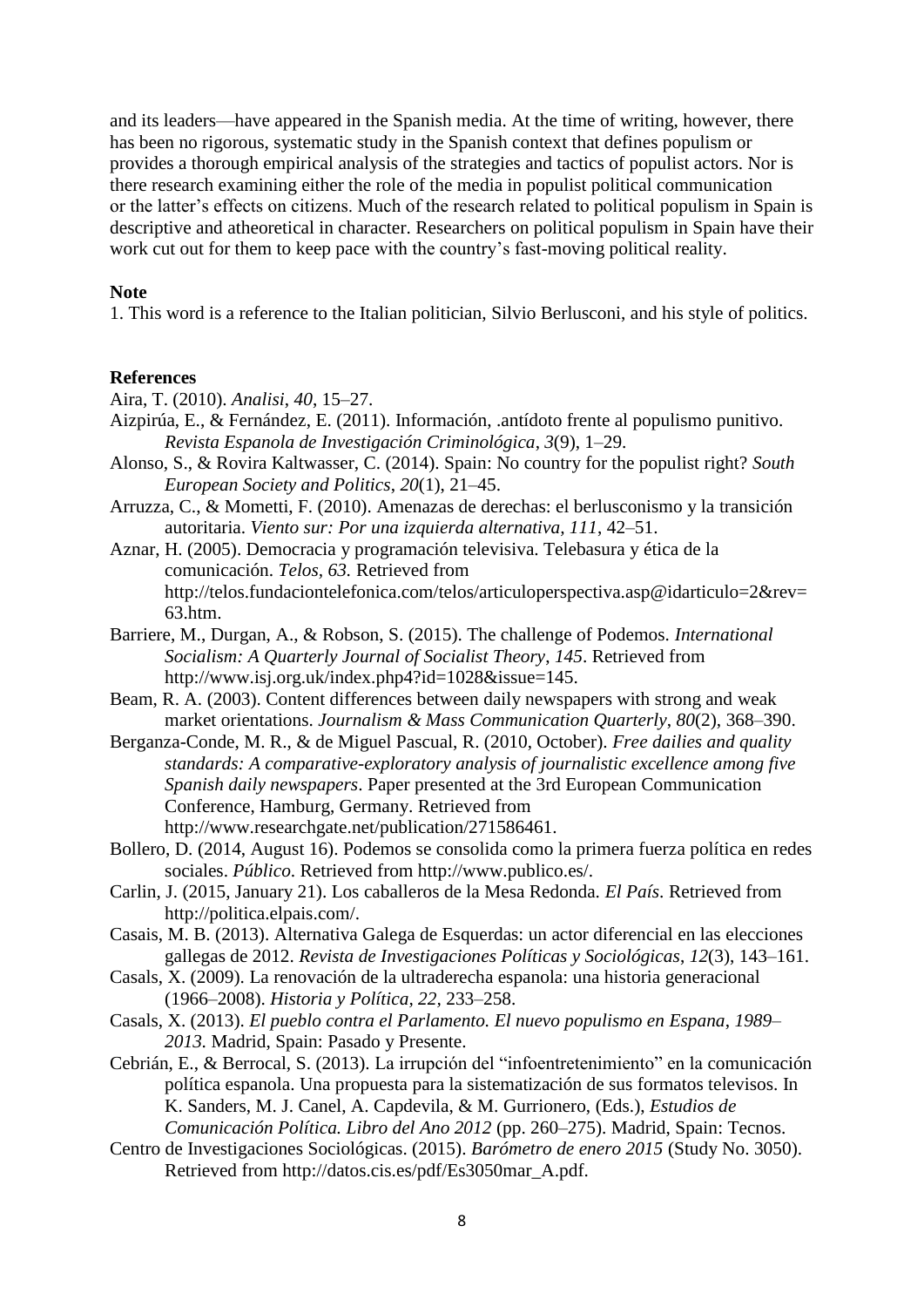and its leaders—have appeared in the Spanish media. At the time of writing, however, there has been no rigorous, systematic study in the Spanish context that defines populism or provides a thorough empirical analysis of the strategies and tactics of populist actors. Nor is there research examining either the role of the media in populist political communication or the latter's effects on citizens. Much of the research related to political populism in Spain is descriptive and atheoretical in character. Researchers on political populism in Spain have their work cut out for them to keep pace with the country's fast-moving political reality.

### **Note**

1. This word is a reference to the Italian politician, Silvio Berlusconi, and his style of politics.

#### **References**

Aira, T. (2010). *Analisi*, *40*, 15–27.

- Aizpirúa, E., & Fernández, E. (2011). Información, .antídoto frente al populismo punitivo. *Revista Espanola de Investigación Criminológica*, *3*(9), 1–29.
- Alonso, S., & Rovira Kaltwasser, C. (2014). Spain: No country for the populist right? *South European Society and Politics*, *20*(1), 21–45.
- Arruzza, C., & Mometti, F. (2010). Amenazas de derechas: el berlusconismo y la transición autoritaria. *Viento sur: Por una izquierda alternativa, 111*, 42–51.
- Aznar, H. (2005). Democracia y programación televisiva. Telebasura y ética de la comunicación. *Telos, 63.* Retrieved from http://telos.fundaciontelefonica.com/telos/articuloperspectiva.asp@idarticulo=2&rev= 63.htm.
- Barriere, M., Durgan, A., & Robson, S. (2015). The challenge of Podemos. *International Socialism: A Quarterly Journal of Socialist Theory*, *145*. Retrieved from http://www.isj.org.uk/index.php4?id=1028&issue=145.
- Beam, R. A. (2003). Content differences between daily newspapers with strong and weak market orientations. *Journalism & Mass Communication Quarterly*, *80*(2), 368–390.
- Berganza-Conde, M. R., & de Miguel Pascual, R. (2010, October). *Free dailies and quality standards: A comparative-exploratory analysis of journalistic excellence among five Spanish daily newspapers*. Paper presented at the 3rd European Communication Conference, Hamburg, Germany. Retrieved from http://www.researchgate.net/publication/271586461.
- Bollero, D. (2014, August 16). Podemos se consolida como la primera fuerza política en redes sociales. *Público*. Retrieved from http://www.publico.es/.
- Carlin, J. (2015, January 21). Los caballeros de la Mesa Redonda. *El País*. Retrieved from http://politica.elpais.com/.
- Casais, M. B. (2013). Alternativa Galega de Esquerdas: un actor diferencial en las elecciones gallegas de 2012. *Revista de Investigaciones Políticas y Sociológicas*, *12*(3), 143–161.
- Casals, X. (2009). La renovación de la ultraderecha espanola: una historia generacional (1966–2008). *Historia y Política, 22,* 233–258.
- Casals, X. (2013). *El pueblo contra el Parlamento. El nuevo populismo en Espana*, *1989– 2013.* Madrid, Spain: Pasado y Presente.
- Cebrián, E., & Berrocal, S. (2013). La irrupción del "infoentretenimiento" en la comunicación política espanola. Una propuesta para la sistematización de sus formatos televisos. In K. Sanders, M. J. Canel, A. Capdevila, & M. Gurrionero, (Eds.), *Estudios de Comunicación Política. Libro del Ano 2012* (pp. 260–275). Madrid, Spain: Tecnos.
- Centro de Investigaciones Sociológicas. (2015). *Barómetro de enero 2015* (Study No. 3050). Retrieved from http://datos.cis.es/pdf/Es3050mar\_A.pdf.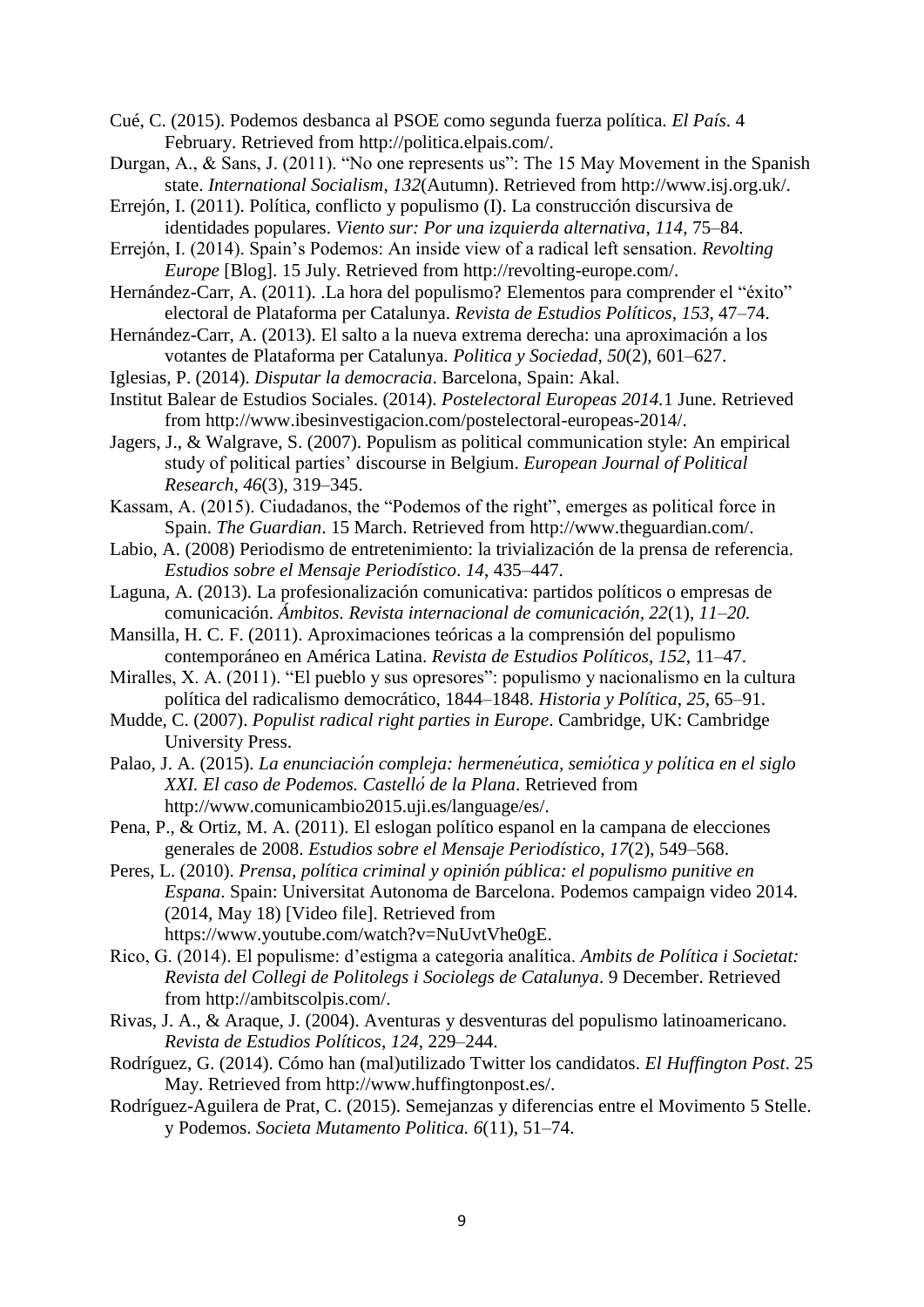Cué, C. (2015). Podemos desbanca al PSOE como segunda fuerza política. *El País*. 4 February. Retrieved from http://politica.elpais.com/.

- Durgan, A., & Sans, J. (2011). "No one represents us": The 15 May Movement in the Spanish state. *International Socialism*, *132*(Autumn). Retrieved from http://www.isj.org.uk/.
- Errejón, I. (2011). Política, conflicto y populismo (I). La construcción discursiva de identidades populares. *Viento sur: Por una izquierda alternativa*, *114*, 75–84.
- Errejón, I. (2014). Spain's Podemos: An inside view of a radical left sensation. *Revolting Europe* [Blog]. 15 July. Retrieved from http://revolting-europe.com/.
- Hernández-Carr, A. (2011). .La hora del populismo? Elementos para comprender el "éxito" electoral de Plataforma per Catalunya. *Revista de Estudios Políticos*, *153*, 47–74.
- Hernández-Carr, A. (2013). El salto a la nueva extrema derecha: una aproximación a los votantes de Plataforma per Catalunya. *Politica y Sociedad, 50*(2), 601–627.
- Iglesias, P. (2014). *Disputar la democracia*. Barcelona, Spain: Akal.
- Institut Balear de Estudios Sociales. (2014). *Postelectoral Europeas 2014.*1 June. Retrieved from http://www.ibesinvestigacion.com/postelectoral-europeas-2014/.
- Jagers, J., & Walgrave, S. (2007). Populism as political communication style: An empirical study of political parties' discourse in Belgium. *European Journal of Political Research*, *46*(3), 319–345.
- Kassam, A. (2015). Ciudadanos, the "Podemos of the right", emerges as political force in Spain. *The Guardian*. 15 March. Retrieved from http://www.theguardian.com/.
- Labio, A. (2008) Periodismo de entretenimiento: la trivialización de la prensa de referencia. *Estudios sobre el Mensaje Periodístico*. *14*, 435–447.
- Laguna, A. (2013). La profesionalización comunicativa: partidos políticos o empresas de comunicación. *Ámbitos. Revista internacional de comunicación, 22*(1), *11–20.*
- Mansilla, H. C. F. (2011). Aproximaciones teóricas a la comprensión del populismo contemporáneo en América Latina. *Revista de Estudios Políticos*, *152*, 11–47.
- Miralles, X. A. (2011). "El pueblo y sus opresores": populismo y nacionalismo en la cultura política del radicalismo democrático, 1844–1848. *Historia y Política*, *25*, 65–91.
- Mudde, C. (2007). *Populist radical right parties in Europe*. Cambridge, UK: Cambridge University Press.
- Palao, J. A. (2015). *La enunciación compleja: hermenéutica, semió tica y polí tica en el siglo XXI. El caso de Podemos. Castelló de la Plana*. Retrieved from http://www.comunicambio2015.uji.es/language/es/.
- Pena, P., & Ortiz, M. A. (2011). El eslogan político espanol en la campana de elecciones generales de 2008. *Estudios sobre el Mensaje Periodístico*, *17*(2), 549–568.
- Peres, L. (2010). *Prensa, política criminal y opinión pública: el populismo punitive en Espana*. Spain: Universitat Autonoma de Barcelona. Podemos campaign video 2014. (2014, May 18) [Video file]. Retrieved from https://www.youtube.com/watch?v=NuUvtVhe0gE.
- Rico, G. (2014). El populisme: d'estigma a categoria analítica. *Ambits de Política i Societat: Revista del Collegi de Politolegs i Sociolegs de Catalunya*. 9 December. Retrieved from http://ambitscolpis.com/.
- Rivas, J. A., & Araque, J. (2004). Aventuras y desventuras del populismo latinoamericano. *Revista de Estudios Políticos*, *124*, 229–244.
- Rodríguez, G. (2014). Cómo han (mal)utilizado Twitter los candidatos. *El Huffington Post*. 25 May. Retrieved from http://www.huffingtonpost.es/.
- Rodríguez-Aguilera de Prat, C. (2015). Semejanzas y diferencias entre el Movimento 5 Stelle. y Podemos. *Societa Mutamento Politica. 6*(11), 51–74.